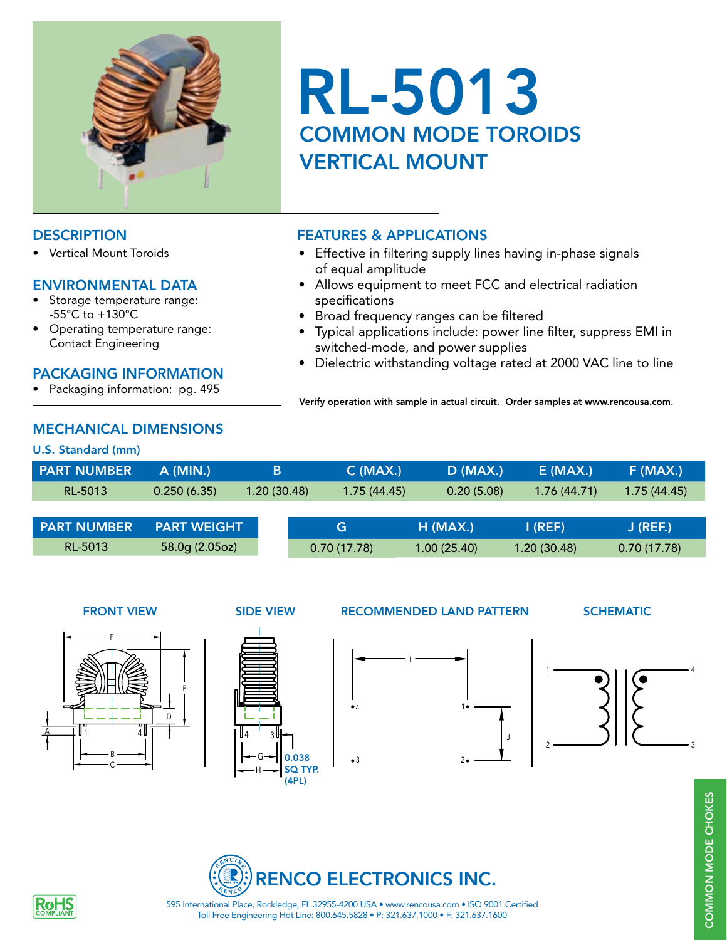

**Vertical Mount Toroids** 

## ENVIRONMENTAL DATA

- Storage temperature range: -55°C to +130°C
- Operating temperature range: Contact Engineering

## PACKAGING INFORMATION

• Packaging information: pg. 495

## MECHANICAL DIMENSIONS

## U.S. Standard (mm)

| U.J. Jianuaru (mm) |                    |             |             |            |             |             |  |
|--------------------|--------------------|-------------|-------------|------------|-------------|-------------|--|
| <b>PART NUMBER</b> | A (MIN.)           | в           | $C$ (MAX.)  | D (MAX.)   | $E$ (MAX.)  | $F$ (MAX.)  |  |
| RL-5013            | 0.250(6.35)        | 1.20(30.48) | 1.75(44.45) | 0.20(5.08) | 1.76(44.71) | 1.75(44.45) |  |
|                    |                    |             |             |            |             |             |  |
| <b>PART NUMBER</b> | <b>PART WEIGHT</b> |             | G           | $H$ (MAX.) | I (REF)     | J (REF.)    |  |

RL-5013 58.0g (2.05oz)



### FRONT VIEW SIDE VIEW RECOMMENDED LAND PATTERN SCHEMATIC









4

Toll Free Engineering Hot Line: 800.645.5828 • P: 321.637.1000 • F: 321.637.1600 595 International Place, Rockledge, FL 32955-4200 USA • www.rencousa.com • ISO 9001 Certified



# RL-5013 COMMON MODE TOROIDS VERTICAL MOUNT

## DESCRIPTION FEATURES & APPLICATIONS

- Effective in filtering supply lines having in-phase signals of equal amplitude
- Allows equipment to meet FCC and electrical radiation specifications
- Broad frequency ranges can be filtered
- Typical applications include: power line filter, suppress EMI in switched-mode, and power supplies
- Dielectric withstanding voltage rated at 2000 VAC line to line

Verify operation with sample in actual circuit. Order samples at www.rencousa.com.

0.70 (17.78) 1.00 (25.40) 1.20 (30.48) 0.70 (17.78)